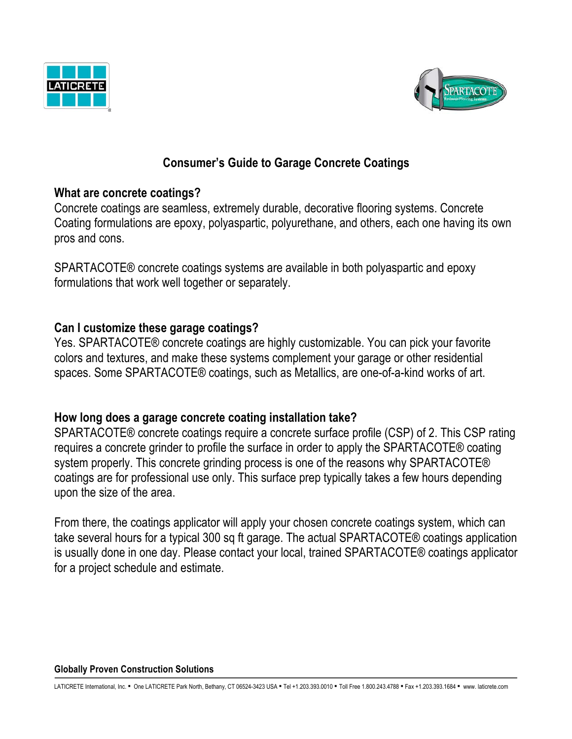



# **Consumer's Guide to Garage Concrete Coatings**

### **What are concrete coatings?**

Concrete coatings are seamless, extremely durable, decorative flooring systems. Concrete Coating formulations are epoxy, polyaspartic, polyurethane, and others, each one having its own pros and cons.

SPARTACOTE® concrete coatings systems are available in both polyaspartic and epoxy formulations that work well together or separately.

## **Can I customize these garage coatings?**

Yes. SPARTACOTE® concrete coatings are highly customizable. You can pick your favorite colors and textures, and make these systems complement your garage or other residential spaces. Some SPARTACOTE® coatings, such as Metallics, are one-of-a-kind works of art.

### **How long does a garage concrete coating installation take?**

SPARTACOTE® concrete coatings require a concrete surface profile (CSP) of 2. This CSP rating requires a concrete grinder to profile the surface in order to apply the SPARTACOTE® coating system properly. This concrete grinding process is one of the reasons why SPARTACOTE® coatings are for professional use only. This surface prep typically takes a few hours depending upon the size of the area.

From there, the coatings applicator will apply your chosen concrete coatings system, which can take several hours for a typical 300 sq ft garage. The actual SPARTACOTE® coatings application is usually done in one day. Please contact your local, trained SPARTACOTE® coatings applicator for a project schedule and estimate.

#### **Globally Proven Construction Solutions**

Ξ

LATICRETE International, Inc. · One LATICRETE Park North, Bethany, CT 06524-3423 USA • Tel +1.203.393.0010 · Toll Free 1.800.243.4788 · Fax +1.203.393.1684 · www. laticrete.com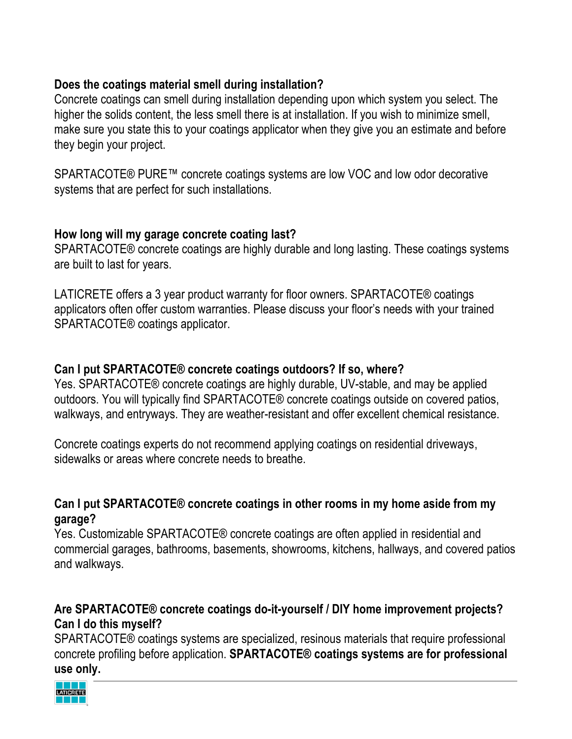## **Does the coatings material smell during installation?**

Concrete coatings can smell during installation depending upon which system you select. The higher the solids content, the less smell there is at installation. If you wish to minimize smell, make sure you state this to your coatings applicator when they give you an estimate and before they begin your project.

SPARTACOTE® PURE™ concrete coatings systems are low VOC and low odor decorative systems that are perfect for such installations.

### **How long will my garage concrete coating last?**

SPARTACOTE® concrete coatings are highly durable and long lasting. These coatings systems are built to last for years.

LATICRETE offers a 3 year product warranty for floor owners. SPARTACOTE® coatings applicators often offer custom warranties. Please discuss your floor's needs with your trained SPARTACOTE® coatings applicator.

### **Can I put SPARTACOTE® concrete coatings outdoors? If so, where?**

Yes. SPARTACOTE® concrete coatings are highly durable, UV-stable, and may be applied outdoors. You will typically find SPARTACOTE® concrete coatings outside on covered patios, walkways, and entryways. They are weather-resistant and offer excellent chemical resistance.

Concrete coatings experts do not recommend applying coatings on residential driveways, sidewalks or areas where concrete needs to breathe.

### **Can I put SPARTACOTE® concrete coatings in other rooms in my home aside from my garage?**

Yes. Customizable SPARTACOTE® concrete coatings are often applied in residential and commercial garages, bathrooms, basements, showrooms, kitchens, hallways, and covered patios and walkways.

## **Are SPARTACOTE® concrete coatings do-it-yourself / DIY home improvement projects? Can I do this myself?**

SPARTACOTE® coatings systems are specialized, resinous materials that require professional concrete profiling before application. **SPARTACOTE® coatings systems are for professional use only.**

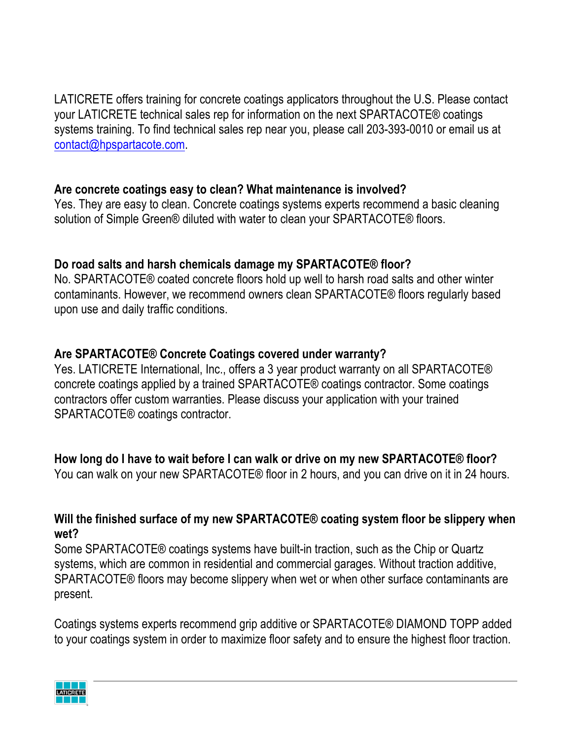LATICRETE offers training for concrete coatings applicators throughout the U.S. Please contact your LATICRETE technical sales rep for information on the next SPARTACOTE® coatings systems training. To find technical sales rep near you, please call 203-393-0010 or email us at contact@hpspartacote.com.

### **Are concrete coatings easy to clean? What maintenance is involved?**

Yes. They are easy to clean. Concrete coatings systems experts recommend a basic cleaning solution of Simple Green® diluted with water to clean your SPARTACOTE® floors.

### **Do road salts and harsh chemicals damage my SPARTACOTE® floor?**

No. SPARTACOTE® coated concrete floors hold up well to harsh road salts and other winter contaminants. However, we recommend owners clean SPARTACOTE® floors regularly based upon use and daily traffic conditions.

#### **Are SPARTACOTE® Concrete Coatings covered under warranty?**

Yes. LATICRETE International, Inc., offers a 3 year product warranty on all SPARTACOTE® concrete coatings applied by a trained SPARTACOTE® coatings contractor. Some coatings contractors offer custom warranties. Please discuss your application with your trained SPARTACOTE® coatings contractor.

### **How long do I have to wait before I can walk or drive on my new SPARTACOTE® floor?**

You can walk on your new SPARTACOTE® floor in 2 hours, and you can drive on it in 24 hours.

#### **Will the finished surface of my new SPARTACOTE® coating system floor be slippery when wet?**

Some SPARTACOTE® coatings systems have built-in traction, such as the Chip or Quartz systems, which are common in residential and commercial garages. Without traction additive, SPARTACOTE® floors may become slippery when wet or when other surface contaminants are present.

Coatings systems experts recommend grip additive or SPARTACOTE® DIAMOND TOPP added to your coatings system in order to maximize floor safety and to ensure the highest floor traction.